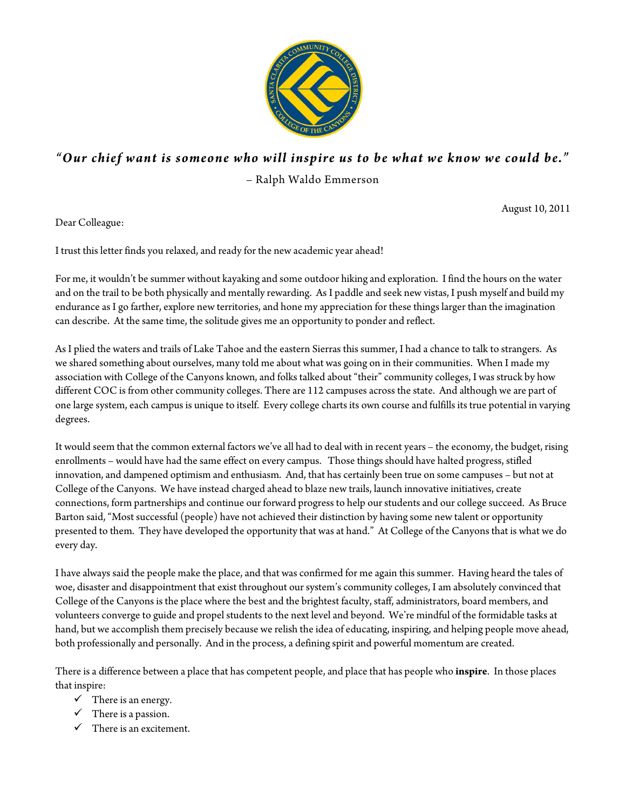

# *"Our chief want is someone who will inspire us to be what we know we could be."* – Ralph Waldo Emmerson

August 10, 2011

Dear Colleague:

I trust this letter finds you relaxed, and ready for the new academic year ahead!

For me, it wouldn't be summer without kayaking and some outdoor hiking and exploration. I find the hours on the water and on the trail to be both physically and mentally rewarding. As I paddle and seek new vistas, I push myself and build my endurance as I go farther, explore new territories, and hone my appreciation for these things larger than the imagination can describe. At the same time, the solitude gives me an opportunity to ponder and reflect.

As I plied the waters and trails of Lake Tahoe and the eastern Sierras this summer, I had a chance to talk to strangers. As we shared something about ourselves, many told me about what was going on in their communities. When I made my association with College of the Canyons known, and folks talked about "their" community colleges, I was struck by how different COC is from other community colleges. There are 112 campuses across the state. And although we are part of one large system, each campus is unique to itself. Every college charts its own course and fulfills its true potential in varying degrees.

It would seem that the common external factors we've all had to deal with in recent years – the economy, the budget, rising enrollments – would have had the same effect on every campus. Those things should have halted progress, stifled innovation, and dampened optimism and enthusiasm. And, that has certainly been true on some campuses – but not at College of the Canyons. We have instead charged ahead to blaze new trails, launch innovative initiatives, create connections, form partnerships and continue our forward progress to help our students and our college succeed. As Bruce Barton said, "Most successful (people) have not achieved their distinction by having some new talent or opportunity presented to them. They have developed the opportunity that was at hand." At College of the Canyons that is what we do every day.

I have always said the people make the place, and that was confirmed for me again this summer. Having heard the tales of woe, disaster and disappointment that exist throughout our system's community colleges, I am absolutely convinced that College of the Canyons is the place where the best and the brightest faculty, staff, administrators, board members, and volunteers converge to guide and propel students to the next level and beyond. We're mindful of the formidable tasks at hand, but we accomplish them precisely because we relish the idea of educating, inspiring, and helping people move ahead, both professionally and personally. And in the process, a defining spirit and powerful momentum are created.

There is a difference between a place that has competent people, and place that has people who **inspire**. In those places that inspire:

- $\checkmark$  There is an energy.
- $\checkmark$  There is a passion.
- $\checkmark$  There is an excitement.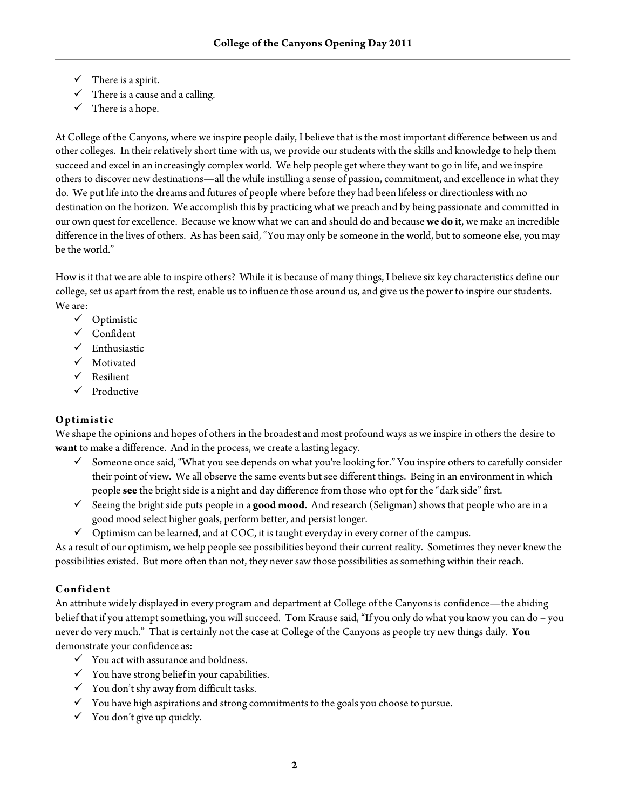- $\checkmark$  There is a spirit.
- $\checkmark$  There is a cause and a calling.
- $\checkmark$  There is a hope.

At College of the Canyons, where we inspire people daily, I believe that is the most important difference between us and other colleges. In their relatively short time with us, we provide our students with the skills and knowledge to help them succeed and excel in an increasingly complex world. We help people get where they want to go in life, and we inspire others to discover new destinations—all the while instilling a sense of passion, commitment, and excellence in what they do. We put life into the dreams and futures of people where before they had been lifeless or directionless with no destination on the horizon. We accomplish this by practicing what we preach and by being passionate and committed in our own quest for excellence. Because we know what we can and should do and because **we do it**, we make an incredible difference in the lives of others. As has been said, "You may only be someone in the world, but to someone else, you may be the world."

How is it that we are able to inspire others? While it is because of many things, I believe six key characteristics define our college, set us apart from the rest, enable us to influence those around us, and give us the power to inspire our students. We are:

- $\checkmark$  Optimistic
- $\checkmark$  Confident
- $\checkmark$  Enthusiastic
- Motivated
- $\checkmark$  Resilient
- $\checkmark$  Productive

#### **Optimistic**

We shape the opinions and hopes of others in the broadest and most profound ways as we inspire in others the desire to **want** to make a difference. And in the process, we create a lasting legacy.

- Someone once said, "What you see depends on what you're looking for." You inspire others to carefully consider their point of view. We all observe the same events but see different things. Being in an environment in which people **see** the bright side is a night and day difference from those who opt for the "dark side" first.
- Seeing the bright side puts people in a **good mood.** And research (Seligman) shows that people who are in a good mood select higher goals, perform better, and persist longer.
- $\checkmark$  Optimism can be learned, and at COC, it is taught everyday in every corner of the campus.

As a result of our optimism, we help people see possibilities beyond their current reality. Sometimes they never knew the possibilities existed. But more often than not, they never saw those possibilities as something within their reach.

# **Confident**

An attribute widely displayed in every program and department at College of the Canyons is confidence—the abiding belief that if you attempt something, you will succeed. Tom Krause said, "If you only do what you know you can do – you never do very much." That is certainly not the case at College of the Canyons as people try new things daily. **You** demonstrate your confidence as:

- $\checkmark$  You act with assurance and boldness.
- $\checkmark$  You have strong belief in your capabilities.
- $\checkmark$  You don't shy away from difficult tasks.
- $\checkmark$  You have high aspirations and strong commitments to the goals you choose to pursue.
- $\checkmark$  You don't give up quickly.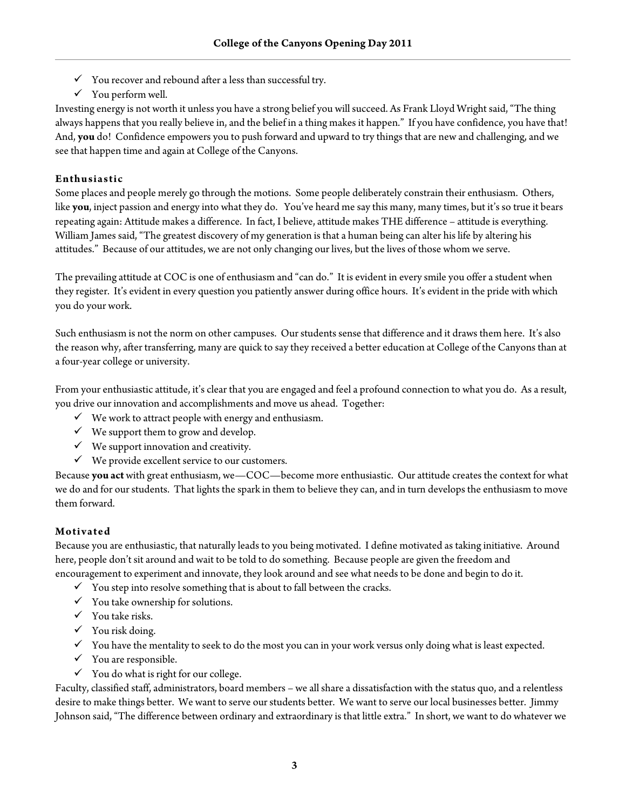- $\checkmark$  You recover and rebound after a less than successful try.
- $\checkmark$  You perform well.

Investing energy is not worth it unless you have a strong belief you will succeed. As Frank Lloyd Wright said, "The thing always happens that you really believe in, and the belief in a thing makes it happen." If you have confidence, you have that! And, **you** do! Confidence empowers you to push forward and upward to try things that are new and challenging, and we see that happen time and again at College of the Canyons.

#### **Enthusiastic**

Some places and people merely go through the motions. Some people deliberately constrain their enthusiasm. Others, like **you**, inject passion and energy into what they do. You've heard me say this many, many times, but it's so true it bears repeating again: Attitude makes a difference. In fact, I believe, attitude makes THE difference – attitude is everything. William James said, "The greatest discovery of my generation is that a human being can alter his life by altering his attitudes." Because of our attitudes, we are not only changing our lives, but the lives of those whom we serve.

The prevailing attitude at COC is one of enthusiasm and "can do." It is evident in every smile you offer a student when they register. It's evident in every question you patiently answer during office hours. It's evident in the pride with which you do your work.

Such enthusiasm is not the norm on other campuses. Our students sense that difference and it draws them here. It's also the reason why, after transferring, many are quick to say they received a better education at College of the Canyons than at a four-year college or university.

From your enthusiastic attitude, it's clear that you are engaged and feel a profound connection to what you do. As a result, you drive our innovation and accomplishments and move us ahead. Together:

- $\checkmark$  We work to attract people with energy and enthusiasm.
- $\checkmark$  We support them to grow and develop.
- $\checkmark$  We support innovation and creativity.
- $\checkmark$  We provide excellent service to our customers.

Because **you act** with great enthusiasm, we—COC—become more enthusiastic. Our attitude creates the context for what we do and for our students. That lights the spark in them to believe they can, and in turn develops the enthusiasm to move them forward.

#### **Motivated**

Because you are enthusiastic, that naturally leads to you being motivated. I define motivated as taking initiative. Around here, people don't sit around and wait to be told to do something. Because people are given the freedom and encouragement to experiment and innovate, they look around and see what needs to be done and begin to do it.

- $\checkmark$  You step into resolve something that is about to fall between the cracks.
- $\checkmark$  You take ownership for solutions.
- $\checkmark$  You take risks.
- $\checkmark$  You risk doing.
- $\checkmark$  You have the mentality to seek to do the most you can in your work versus only doing what is least expected.
- $\checkmark$  You are responsible.
- $\checkmark$  You do what is right for our college.

Faculty, classified staff, administrators, board members – we all share a dissatisfaction with the status quo, and a relentless desire to make things better. We want to serve our students better. We want to serve our local businesses better. Jimmy Johnson said, "The difference between ordinary and extraordinary is that little extra." In short, we want to do whatever we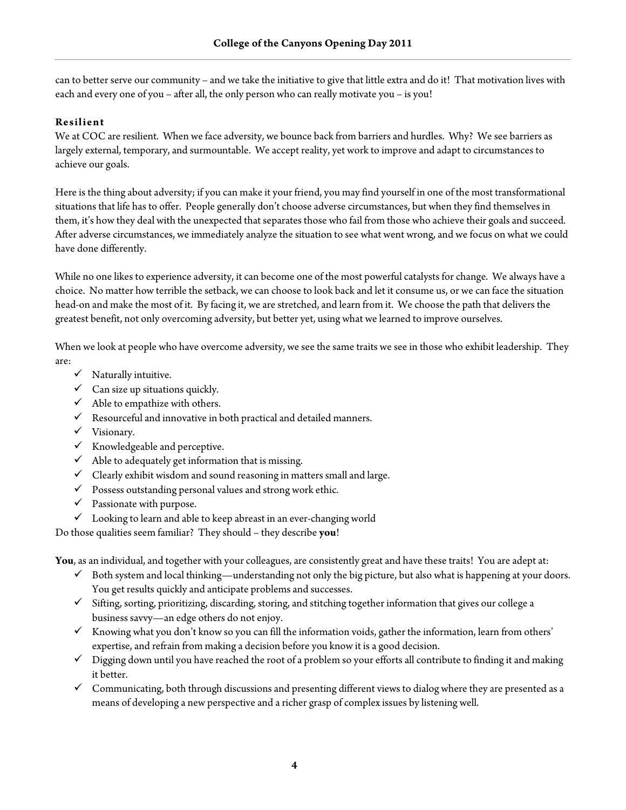can to better serve our community – and we take the initiative to give that little extra and do it! That motivation lives with each and every one of you – after all, the only person who can really motivate you – is you!

#### **Resilient**

We at COC are resilient. When we face adversity, we bounce back from barriers and hurdles. Why? We see barriers as largely external, temporary, and surmountable. We accept reality, yet work to improve and adapt to circumstances to achieve our goals.

Here is the thing about adversity; if you can make it your friend, you may find yourself in one of the most transformational situations that life has to offer. People generally don't choose adverse circumstances, but when they find themselves in them, it's how they deal with the unexpected that separates those who fail from those who achieve their goals and succeed. After adverse circumstances, we immediately analyze the situation to see what went wrong, and we focus on what we could have done differently.

While no one likes to experience adversity, it can become one of the most powerful catalysts for change. We always have a choice. No matter how terrible the setback, we can choose to look back and let it consume us, or we can face the situation head-on and make the most of it. By facing it, we are stretched, and learn from it. We choose the path that delivers the greatest benefit, not only overcoming adversity, but better yet, using what we learned to improve ourselves.

When we look at people who have overcome adversity, we see the same traits we see in those who exhibit leadership. They are:

- $\checkmark$  Naturally intuitive.
- $\checkmark$  Can size up situations quickly.
- $\checkmark$  Able to empathize with others.
- $\checkmark$  Resourceful and innovative in both practical and detailed manners.
- $\checkmark$  Visionary.
- $\checkmark$  Knowledgeable and perceptive.
- $\checkmark$  Able to adequately get information that is missing.
- $\checkmark$  Clearly exhibit wisdom and sound reasoning in matters small and large.
- $\checkmark$  Possess outstanding personal values and strong work ethic.
- $\checkmark$  Passionate with purpose.
- $\checkmark$  Looking to learn and able to keep abreast in an ever-changing world

Do those qualities seem familiar? They should – they describe **you**!

**You**, as an individual, and together with your colleagues, are consistently great and have these traits! You are adept at:

- $\checkmark$  Both system and local thinking—understanding not only the big picture, but also what is happening at your doors. You get results quickly and anticipate problems and successes.
- $\checkmark$  Sifting, sorting, prioritizing, discarding, storing, and stitching together information that gives our college a business savvy—an edge others do not enjoy.
- Knowing what you don't know so you can fill the information voids, gather the information, learn from others' expertise, and refrain from making a decision before you know it is a good decision.
- $\checkmark$  Digging down until you have reached the root of a problem so your efforts all contribute to finding it and making it better.
- $\checkmark$  Communicating, both through discussions and presenting different views to dialog where they are presented as a means of developing a new perspective and a richer grasp of complex issues by listening well.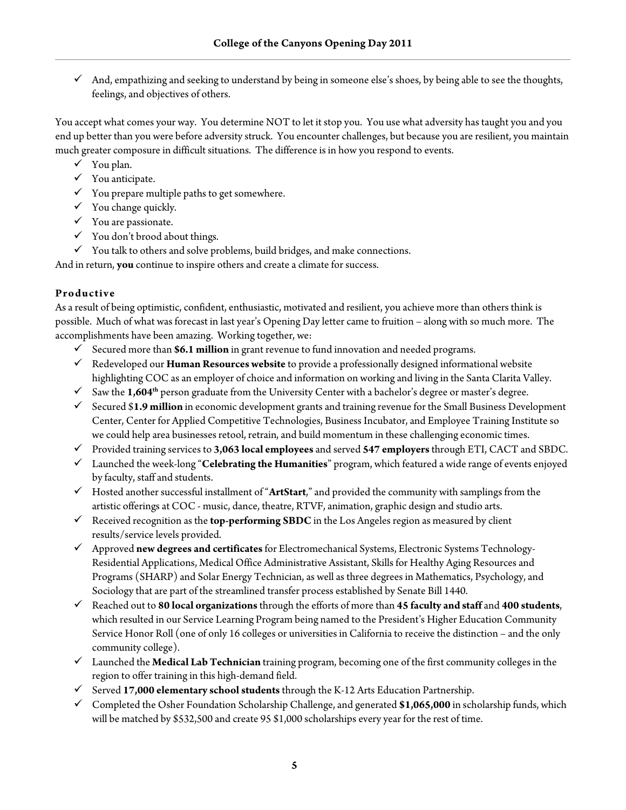And, empathizing and seeking to understand by being in someone else's shoes, by being able to see the thoughts, feelings, and objectives of others.

You accept what comes your way. You determine NOT to let it stop you. You use what adversity has taught you and you end up better than you were before adversity struck. You encounter challenges, but because you are resilient, you maintain much greater composure in difficult situations. The difference is in how you respond to events.

- $\checkmark$  You plan.
- $\checkmark$  You anticipate.
- $\checkmark$  You prepare multiple paths to get somewhere.
- $\checkmark$  You change quickly.
- $\checkmark$  You are passionate.
- $\checkmark$  You don't brood about things.
- $\checkmark$  You talk to others and solve problems, build bridges, and make connections.

And in return, **you** continue to inspire others and create a climate for success.

# **Productive**

As a result of being optimistic, confident, enthusiastic, motivated and resilient, you achieve more than others think is possible. Much of what was forecast in last year's Opening Day letter came to fruition – along with so much more. The accomplishments have been amazing. Working together, we:

- Secured more than **\$6.1 million** in grant revenue to fund innovation and needed programs.
- Redeveloped our **Human Resources website** to provide a professionally designed informational website highlighting COC as an employer of choice and information on working and living in the Santa Clarita Valley.
- $\checkmark$  Saw the **1,604<sup>th</sup>** person graduate from the University Center with a bachelor's degree or master's degree.
- Secured \$**1.9 million** in economic development grants and training revenue for the Small Business Development Center, Center for Applied Competitive Technologies, Business Incubator, and Employee Training Institute so we could help area businesses retool, retrain, and build momentum in these challenging economic times.
- Provided training services to **3,063 local employees** and served **547 employers**through ETI, CACT and SBDC.
- Launched the week-long "**Celebrating the Humanities**" program, which featured a wide range of events enjoyed by faculty, staff and students.
- Hosted another successful installment of "**ArtStart**," and provided the community with samplings from the artistic offerings at COC - music, dance, theatre, RTVF, animation, graphic design and studio arts.
- Received recognition as the **top-performing SBDC** in the Los Angeles region as measured by client results/service levels provided.
- Approved **new degrees and certificates**for Electromechanical Systems, Electronic Systems Technology-Residential Applications, Medical Office Administrative Assistant, Skills for Healthy Aging Resources and Programs (SHARP) and Solar Energy Technician, as well as three degrees in Mathematics, Psychology, and Sociology that are part of the streamlined transfer process established by Senate Bill 1440.
- Reached out to **80 local organizations**through the efforts of more than **45 faculty and staff** and **400 students**, which resulted in our Service Learning Program being named to the President's Higher Education Community Service Honor Roll (one of only 16 colleges or universities in California to receive the distinction – and the only community college).
- Launched the **Medical Lab Technician** training program, becoming one of the first community colleges in the region to offer training in this high-demand field.
- Served **17,000 elementary school students**through the K-12 Arts Education Partnership.
- Completed the Osher Foundation Scholarship Challenge, and generated **\$1,065,000** in scholarship funds, which will be matched by \$532,500 and create 95 \$1,000 scholarships every year for the rest of time.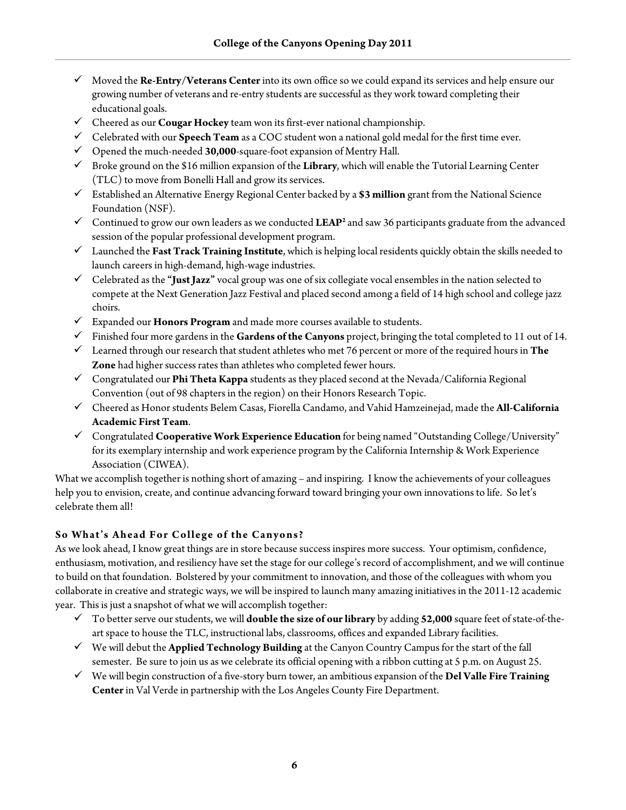- Moved the **Re-Entry/Veterans Center** into its own office so we could expand its services and help ensure our growing number of veterans and re-entry students are successful as they work toward completing their educational goals.
- Cheered as our **Cougar Hockey** team won its first-ever national championship.
- Celebrated with our **Speech Team** as a COC student won a national gold medal for the first time ever.
- Opened the much-needed **30,000**-square-foot expansion of Mentry Hall.
- Broke ground on the \$16 million expansion of the **Library**, which will enable the Tutorial Learning Center (TLC) to move from Bonelli Hall and grow its services.
- Established an Alternative Energy Regional Center backed by a **\$3 million** grant from the National Science Foundation (NSF).
- Continued to grow our own leaders as we conducted  $LEAP<sup>2</sup>$  and saw 36 participants graduate from the advanced session of the popular professional development program.
- Launched the **Fast Track Training Institute**, which is helping local residents quickly obtain the skills needed to launch careers in high-demand, high-wage industries.
- Celebrated as the **"Just Jazz"** vocal group was one of six collegiate vocal ensembles in the nation selected to compete at the Next Generation Jazz Festival and placed second among a field of 14 high school and college jazz choirs.
- Expanded our **Honors Program** and made more courses available to students.
- Finished four more gardens in the **Gardens of the Canyons** project, bringing the total completed to 11 out of 14.
- Learned through our research that student athletes who met 76 percent or more of the required hours in **The Zone** had higher success rates than athletes who completed fewer hours.
- Congratulated our **Phi Theta Kappa** students as they placed second at the Nevada/California Regional Convention (out of 98 chapters in the region) on their Honors Research Topic.
- Cheered as Honor students Belem Casas, Fiorella Candamo, and Vahid Hamzeinejad, made the **All-California Academic First Team**.
- Congratulated **Cooperative Work Experience Education** for being named "Outstanding College/University" for its exemplary internship and work experience program by the California Internship & Work Experience Association (CIWEA).

What we accomplish together is nothing short of amazing – and inspiring. I know the achievements of your colleagues help you to envision, create, and continue advancing forward toward bringing your own innovations to life. So let's celebrate them all!

# **So What's Ahead For College of the Canyons?**

As we look ahead, I know great things are in store because success inspires more success. Your optimism, confidence, enthusiasm, motivation, and resiliency have set the stage for our college's record of accomplishment, and we will continue to build on that foundation. Bolstered by your commitment to innovation, and those of the colleagues with whom you collaborate in creative and strategic ways, we will be inspired to launch many amazing initiatives in the 2011-12 academic year. This is just a snapshot of what we will accomplish together:

- To better serve our students, we will **double the size of our library** by adding **52,000** square feet of state-of-theart space to house the TLC, instructional labs, classrooms, offices and expanded Library facilities.
- We will debut the **Applied Technology Building** at the Canyon Country Campus for the start of the fall semester. Be sure to join us as we celebrate its official opening with a ribbon cutting at 5 p.m. on August 25.
- We will begin construction of a five-story burn tower, an ambitious expansion of the **Del Valle Fire Training Center**in Val Verde in partnership with the Los Angeles County Fire Department.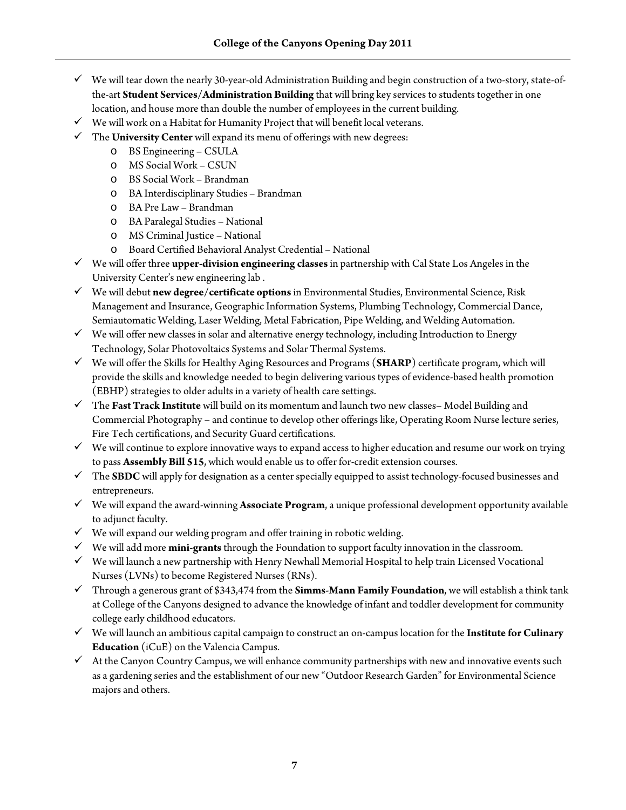- $\checkmark$  We will tear down the nearly 30-year-old Administration Building and begin construction of a two-story, state-ofthe-art **Student Services/Administration Building** that will bring key services to students together in one location, and house more than double the number of employees in the current building.
- $\checkmark$  We will work on a Habitat for Humanity Project that will benefit local veterans.
- The **University Center** will expand its menu of offerings with new degrees:
	- o BS Engineering CSULA
	- o MS Social Work CSUN
	- o BS Social Work Brandman
	- o BA Interdisciplinary Studies Brandman
	- o BA Pre Law Brandman
	- o BA Paralegal Studies National
	- o MS Criminal Justice National
	- o Board Certified Behavioral Analyst Credential National
- We will offer three **upper-division engineering classes**in partnership with Cal State Los Angeles in the University Center's new engineering lab .
- We will debut **new degree/certificate options**in Environmental Studies, Environmental Science, Risk Management and Insurance, Geographic Information Systems, Plumbing Technology, Commercial Dance, Semiautomatic Welding, Laser Welding, Metal Fabrication, Pipe Welding, and Welding Automation.
- $\checkmark$  We will offer new classes in solar and alternative energy technology, including Introduction to Energy Technology, Solar Photovoltaics Systems and Solar Thermal Systems.
- We will offer the Skills for Healthy Aging Resources and Programs (**SHARP**) certificate program, which will provide the skills and knowledge needed to begin delivering various types of evidence-based health promotion (EBHP) strategies to older adults in a variety of health care settings.
- The **Fast Track Institute** will build on its momentum and launch two new classes– Model Building and Commercial Photography – and continue to develop other offerings like, Operating Room Nurse lecture series, Fire Tech certifications, and Security Guard certifications.
- $\checkmark$  We will continue to explore innovative ways to expand access to higher education and resume our work on trying to pass **Assembly Bill 515**, which would enable us to offer for-credit extension courses.
- The **SBDC** will apply for designation as a center specially equipped to assist technology-focused businesses and entrepreneurs.
- We will expand the award-winning **Associate Program**, a unique professional development opportunity available to adjunct faculty.
- $\checkmark$  We will expand our welding program and offer training in robotic welding.
- $\checkmark$  We will add more **mini-grants** through the Foundation to support faculty innovation in the classroom.
- $\checkmark$  We will launch a new partnership with Henry Newhall Memorial Hospital to help train Licensed Vocational Nurses (LVNs) to become Registered Nurses (RNs).
- Through a generous grant of \$343,474 from the **Simms-Mann Family Foundation**, we will establish a think tank at College of the Canyons designed to advance the knowledge of infant and toddler development for community college early childhood educators.
- We will launch an ambitious capital campaign to construct an on-campus location for the **Institute for Culinary Education** (iCuE) on the Valencia Campus.
- $\checkmark$  At the Canyon Country Campus, we will enhance community partnerships with new and innovative events such as a gardening series and the establishment of our new "Outdoor Research Garden" for Environmental Science majors and others.